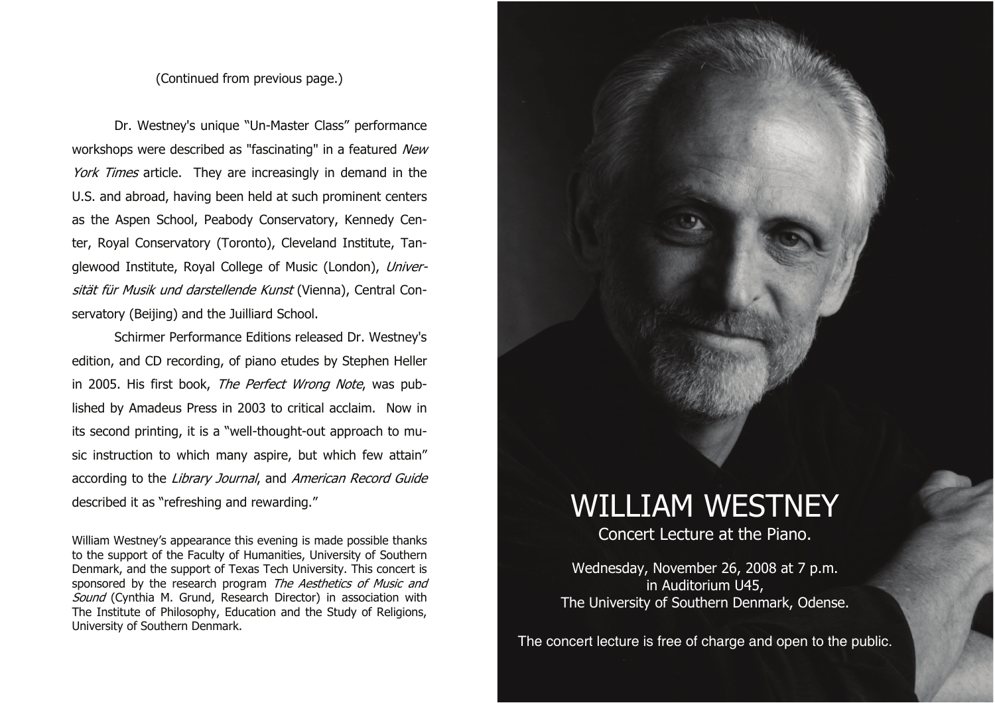## (Continued from previous page.)

Dr. Westney's unique "Un-Master Class" performance workshops were described as "fascinating" in a featured New York Times article. They are increasingly in demand in the U.S. and abroad, having been held at such prominent centers as the Aspen School, Peabody Conservatory, Kennedy Center, Royal Conservatory (Toronto), Cleveland Institute, Tanglewood Institute, Royal College of Music (London), Universität für Musik und darstellende Kunst (Vienna), Central Conservatory (Beijing) and the Juilliard School.

Schirmer Performance Editions released Dr. Westney's edition, and CD recording, of piano etudes by Stephen Heller in 2005. His first book, The Perfect Wrong Note, was published by Amadeus Press in 2003 to critical acclaim. Now in its second printing, it is a "well-thought-out approach to music instruction to which many aspire, but which few attain" according to the Library Journal, and American Record Guide described it as "refreshing and rewarding."

William Westney's appearance this evening is made possible thanks to the support of the Faculty of Humanities, University of Southern Denmark, and the support of Texas Tech University. This concert is sponsored by the research program The Aesthetics of Music and Sound (Cynthia M. Grund, Research Director) in association with The Institute of Philosophy, Education and the Study of Religions, University of Southern Denmark.

## WILLIAM WESTNEY

Concert Lecture at the Piano.

Wednesday, November 26, 2008 at 7 p.m. in Auditorium U45, The University of Southern Denmark, Odense.

The concert lecture is free of charge and open to the public.